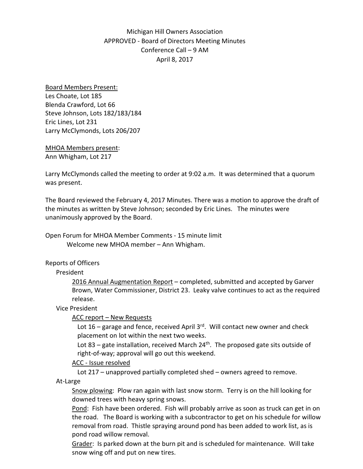Michigan Hill Owners Association APPROVED - Board of Directors Meeting Minutes Conference Call – 9 AM April 8, 2017

Board Members Present: Les Choate, Lot 185 Blenda Crawford, Lot 66 Steve Johnson, Lots 182/183/184 Eric Lines, Lot 231 Larry McClymonds, Lots 206/207

MHOA Members present: Ann Whigham, Lot 217

Larry McClymonds called the meeting to order at 9:02 a.m. It was determined that a quorum was present.

The Board reviewed the February 4, 2017 Minutes. There was a motion to approve the draft of the minutes as written by Steve Johnson; seconded by Eric Lines. The minutes were unanimously approved by the Board.

Open Forum for MHOA Member Comments - 15 minute limit Welcome new MHOA member – Ann Whigham.

## Reports of Officers

## President

2016 Annual Augmentation Report – completed, submitted and accepted by Garver Brown, Water Commissioner, District 23. Leaky valve continues to act as the required release.

## Vice President

# ACC report – New Requests

Lot 16 – garage and fence, received April  $3<sup>rd</sup>$ . Will contact new owner and check placement on lot within the next two weeks.

Lot 83 – gate installation, received March  $24^{\text{th}}$ . The proposed gate sits outside of right-of-way; approval will go out this weekend.

## ACC - Issue resolved

Lot 217 – unapproved partially completed shed – owners agreed to remove.

At-Large

Snow plowing: Plow ran again with last snow storm. Terry is on the hill looking for downed trees with heavy spring snows.

Pond: Fish have been ordered. Fish will probably arrive as soon as truck can get in on the road. The Board is working with a subcontractor to get on his schedule for willow removal from road. Thistle spraying around pond has been added to work list, as is pond road willow removal.

Grader: Is parked down at the burn pit and is scheduled for maintenance. Will take snow wing off and put on new tires.